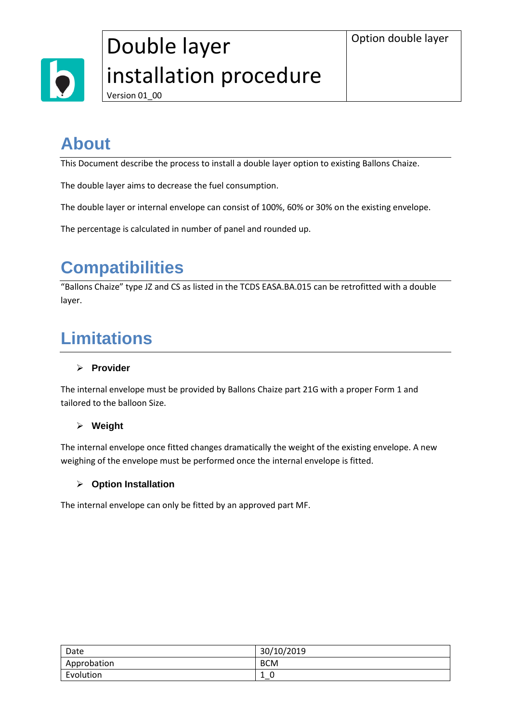

# Double layer installation procedure

### Version 01\_00

### **About**

This Document describe the process to install a double layer option to existing Ballons Chaize.

The double layer aims to decrease the fuel consumption.

The double layer or internal envelope can consist of 100%, 60% or 30% on the existing envelope.

The percentage is calculated in number of panel and rounded up.

## **Compatibilities**

"Ballons Chaize" type JZ and CS as listed in the TCDS EASA.BA.015 can be retrofitted with a double layer.

## **Limitations**

### ➢ **Provider**

The internal envelope must be provided by Ballons Chaize part 21G with a proper Form 1 and tailored to the balloon Size.

### ➢ **Weight**

The internal envelope once fitted changes dramatically the weight of the existing envelope. A new weighing of the envelope must be performed once the internal envelope is fitted.

### ➢ **Option Installation**

The internal envelope can only be fitted by an approved part MF.

| Date        | 30/10/2019 |
|-------------|------------|
| Approbation | <b>BCM</b> |
| Evolution   | и<br>ᅩ     |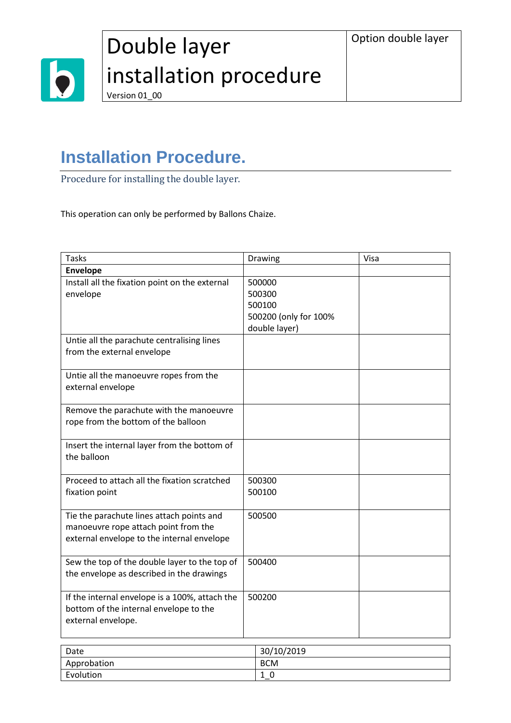Option double layer



# Double layer installation procedure

Version 01\_00

## **Installation Procedure.**

Procedure for installing the double layer.

This operation can only be performed by Ballons Chaize.

| <b>Tasks</b>                                                                                                                    | Drawing                                                              | Visa |
|---------------------------------------------------------------------------------------------------------------------------------|----------------------------------------------------------------------|------|
| <b>Envelope</b>                                                                                                                 |                                                                      |      |
| Install all the fixation point on the external<br>envelope                                                                      | 500000<br>500300<br>500100<br>500200 (only for 100%<br>double layer) |      |
| Untie all the parachute centralising lines<br>from the external envelope                                                        |                                                                      |      |
| Untie all the manoeuvre ropes from the<br>external envelope                                                                     |                                                                      |      |
| Remove the parachute with the manoeuvre<br>rope from the bottom of the balloon                                                  |                                                                      |      |
| Insert the internal layer from the bottom of<br>the balloon                                                                     |                                                                      |      |
| Proceed to attach all the fixation scratched<br>fixation point                                                                  | 500300<br>500100                                                     |      |
| Tie the parachute lines attach points and<br>manoeuvre rope attach point from the<br>external envelope to the internal envelope | 500500                                                               |      |
| Sew the top of the double layer to the top of<br>the envelope as described in the drawings                                      | 500400                                                               |      |
| If the internal envelope is a 100%, attach the<br>bottom of the internal envelope to the<br>external envelope.                  | 500200                                                               |      |

| Date        | 30/10/2019 |
|-------------|------------|
| Approbation | <b>BCM</b> |
| Evolution   |            |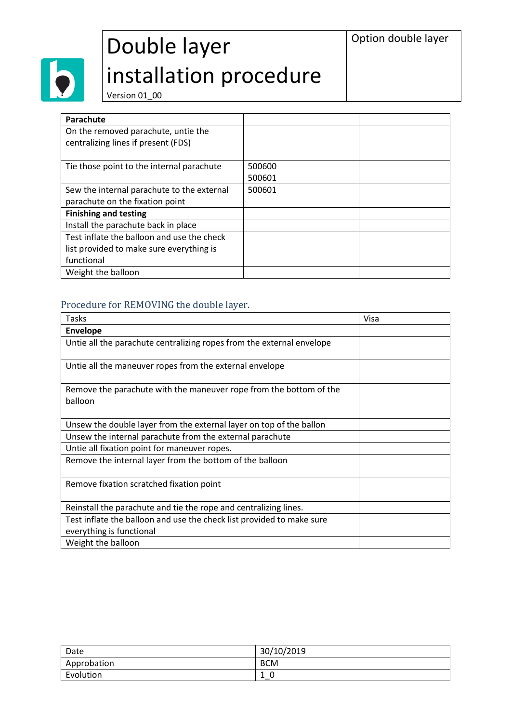

# Double layer

Option double layer

# installation procedure

Version 01\_00

| Parachute                                  |        |  |
|--------------------------------------------|--------|--|
| On the removed parachute, untie the        |        |  |
| centralizing lines if present (FDS)        |        |  |
|                                            |        |  |
| Tie those point to the internal parachute  | 500600 |  |
|                                            | 500601 |  |
| Sew the internal parachute to the external | 500601 |  |
| parachute on the fixation point            |        |  |
| <b>Finishing and testing</b>               |        |  |
| Install the parachute back in place        |        |  |
| Test inflate the balloon and use the check |        |  |
| list provided to make sure everything is   |        |  |
| functional                                 |        |  |
| Weight the balloon                         |        |  |

### Procedure for REMOVING the double layer.

| <b>Tasks</b>                                                                  | Visa |
|-------------------------------------------------------------------------------|------|
| <b>Envelope</b>                                                               |      |
| Untie all the parachute centralizing ropes from the external envelope         |      |
| Untie all the maneuver ropes from the external envelope                       |      |
| Remove the parachute with the maneuver rope from the bottom of the<br>balloon |      |
| Unsew the double layer from the external layer on top of the ballon           |      |
| Unsew the internal parachute from the external parachute                      |      |
| Untie all fixation point for maneuver ropes.                                  |      |
| Remove the internal layer from the bottom of the balloon                      |      |
| Remove fixation scratched fixation point                                      |      |
| Reinstall the parachute and tie the rope and centralizing lines.              |      |
| Test inflate the balloon and use the check list provided to make sure         |      |
| everything is functional                                                      |      |
| Weight the balloon                                                            |      |

| Date        | 30/10/2019 |
|-------------|------------|
| Approbation | <b>BCM</b> |
| Evolution   |            |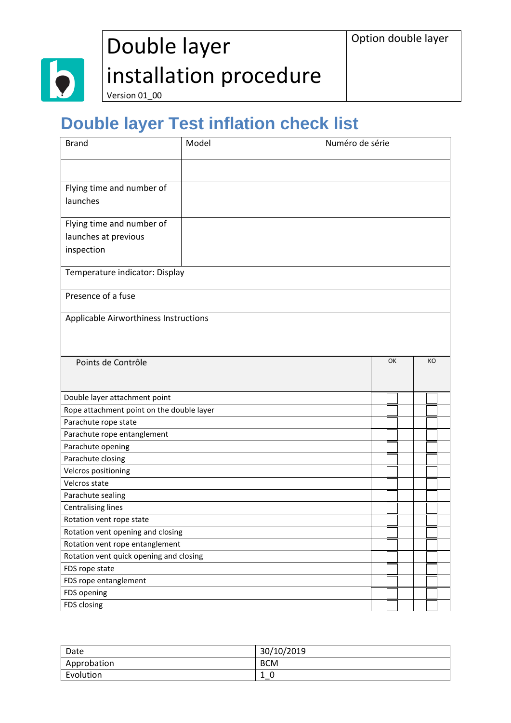

# Double layer

## installation procedure

Version 01\_00

## **Double layer Test inflation check list**

| <b>Brand</b>                              | Model | Numéro de série |    |  |    |
|-------------------------------------------|-------|-----------------|----|--|----|
|                                           |       |                 |    |  |    |
| Flying time and number of                 |       |                 |    |  |    |
| launches                                  |       |                 |    |  |    |
| Flying time and number of                 |       |                 |    |  |    |
| launches at previous                      |       |                 |    |  |    |
| inspection                                |       |                 |    |  |    |
|                                           |       |                 |    |  |    |
| Temperature indicator: Display            |       |                 |    |  |    |
| Presence of a fuse                        |       |                 |    |  |    |
| Applicable Airworthiness Instructions     |       |                 |    |  |    |
|                                           |       |                 |    |  |    |
|                                           |       |                 |    |  |    |
| Points de Contrôle                        |       |                 | OK |  | KO |
|                                           |       |                 |    |  |    |
| Double layer attachment point             |       |                 |    |  |    |
| Rope attachment point on the double layer |       |                 |    |  |    |
| Parachute rope state                      |       |                 |    |  |    |
| Parachute rope entanglement               |       |                 |    |  |    |
| Parachute opening                         |       |                 |    |  |    |
| Parachute closing                         |       |                 |    |  |    |
| Velcros positioning                       |       |                 |    |  |    |
| Velcros state                             |       |                 |    |  |    |
| Parachute sealing                         |       |                 |    |  |    |
| <b>Centralising lines</b>                 |       |                 |    |  |    |
| Rotation vent rope state                  |       |                 |    |  |    |
| Rotation vent opening and closing         |       |                 |    |  |    |
| Rotation vent rope entanglement           |       |                 |    |  |    |
| Rotation vent quick opening and closing   |       |                 |    |  |    |
| FDS rope state                            |       |                 |    |  |    |
| FDS rope entanglement                     |       |                 |    |  |    |
| FDS opening                               |       |                 |    |  |    |
| FDS closing                               |       |                 |    |  |    |

| Date        | 30/10/2019 |
|-------------|------------|
| Approbation | <b>BCM</b> |
| Evolution   | c<br>-1    |